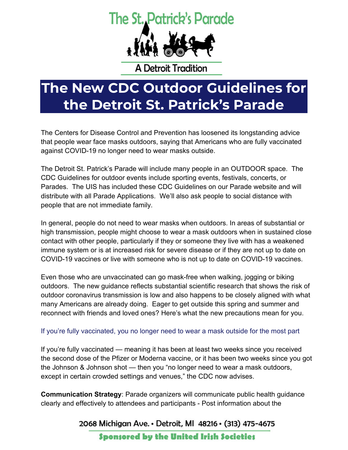## The St. Patrick's Parade



**A Detroit Tradition** 

## **The New CDC Outdoor Guidelines for the Detroit St. Patrick's Parade**

The Centers for Disease Control and Prevention has loosened its longstanding advice that people wear face masks outdoors, saying that Americans who are fully vaccinated against COVID-19 no longer need to wear masks outside.

The Detroit St. Patrick's Parade will include many people in an OUTDOOR space. The CDC Guidelines for outdoor events include sporting events, festivals, concerts, or Parades. The UIS has included these CDC Guidelines on our Parade website and will distribute with all Parade Applications. We'll also ask people to social distance with people that are not immediate family.

In general, people do not need to wear masks when outdoors. In areas of [substantial or](https://covid.cdc.gov/covid-data-tracker/#county-view)  [high transmission,](https://covid.cdc.gov/covid-data-tracker/#county-view) people might choose to wear a mask outdoors when in sustained [close](https://www.cdc.gov/coronavirus/2019-ncov/php/contact-tracing/contact-tracing-plan/appendix.html#contact)  [contact](https://www.cdc.gov/coronavirus/2019-ncov/php/contact-tracing/contact-tracing-plan/appendix.html#contact) with other people, particularly if they or someone they live with has a [weakened](https://www.cdc.gov/coronavirus/2019-ncov/need-extra-precautions/people-with-medical-conditions.html)  [immune system](https://www.cdc.gov/coronavirus/2019-ncov/need-extra-precautions/people-with-medical-conditions.html) or is at [increased risk for severe disease](https://www.cdc.gov/coronavirus/2019-ncov/need-extra-precautions/people-with-medical-conditions.html) or if they are not [up to date](https://www.cdc.gov/coronavirus/2019-ncov/vaccines/stay-up-to-date.html) on COVID-19 vaccines or live with someone who is not up to date on COVID-19 vaccines.

Even those who are unvaccinated can go mask-free when walking, jogging or biking outdoors. The new guidance reflects substantial scientific research that shows the risk of outdoor coronavirus transmission is low and also happens to be closely aligned with what many Americans are [already doing.](https://www.nytimes.com/2021/04/22/well/live/covid-masks-outdoors.html) Eager to get outside this spring and summer and reconnect with friends and loved ones? Here's what the new precautions mean for you.

## If you're fully vaccinated, you no longer need to wear a mask outside for the most part

If you're fully vaccinated — meaning it has been at least two weeks since you received the second dose of the Pfizer or Moderna vaccine, or it has been two weeks since you got the Johnson & Johnson shot — then you "no longer need to wear a mask outdoors, except in certain crowded settings and venues," the [CDC now advises.](https://www.cdc.gov/coronavirus/2019-ncov/vaccines/fully-vaccinated-guidance.html)

**Communication Strategy**: Parade organizers will communicate public health guidance clearly and effectively to attendees and participants - Post information about the

2068 Michigan Ave. • Detroit, MI 48216 • (313) 475-4675

**Sponsored by the United Irish Societies**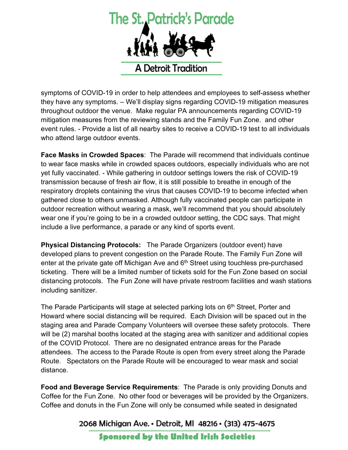

symptoms of COVID-19 in order to help attendees and employees to self-assess whether they have any symptoms. – We'll display signs regarding COVID-19 mitigation measures throughout outdoor the venue. Make regular PA announcements regarding COVID-19 mitigation measures from the reviewing stands and the Family Fun Zone. and other event rules. - Provide a list of all nearby sites to receive a COVID-19 test to all individuals who attend large outdoor events.

**Face Masks in Crowded Spaces**: The Parade will recommend that individuals continue to wear face masks while in crowded spaces outdoors, especially individuals who are not yet fully vaccinated. - While gathering in outdoor settings lowers the risk of COVID-19 transmission because of fresh air flow, it is still possible to breathe in enough of the respiratory droplets containing the virus that causes COVID-19 to become infected when gathered close to others unmasked. Although fully vaccinated people can participate in outdoor recreation without wearing a mask, we'll recommend that you should absolutely wear one if you're going to be in a crowded outdoor setting, the CDC says. That might include a live performance, a parade or any kind of sports event.

**Physical Distancing Protocols:** The Parade Organizers (outdoor event) have developed plans to prevent congestion on the Parade Route. The Family Fun Zone will enter at the private gate off Michigan Ave and  $6<sup>th</sup>$  Street using touchless pre-purchased ticketing. There will be a limited number of tickets sold for the Fun Zone based on social distancing protocols. The Fun Zone will have private restroom facilities and wash stations including sanitizer.

The Parade Participants will stage at selected parking lots on 6<sup>th</sup> Street, Porter and Howard where social distancing will be required. Each Division will be spaced out in the staging area and Parade Company Volunteers will oversee these safety protocols. There will be (2) marshal booths located at the staging area with sanitizer and additional copies of the COVID Protocol. There are no designated entrance areas for the Parade attendees. The access to the Parade Route is open from every street along the Parade Route. Spectators on the Parade Route will be encouraged to wear mask and social distance.

**Food and Beverage Service Requirements**: The Parade is only providing Donuts and Coffee for the Fun Zone. No other food or beverages will be provided by the Organizers. Coffee and donuts in the Fun Zone will only be consumed while seated in designated

2068 Michigan Ave. • Detroit, MI 48216 • (313) 475-4675

**Sponsored by the United Irish Societies**